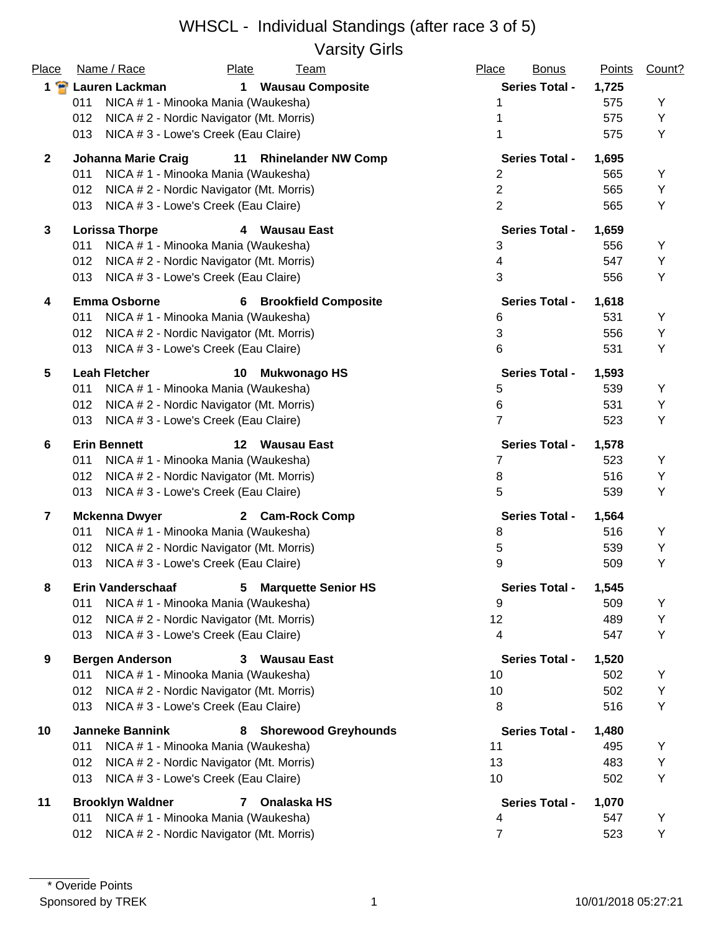#### WHSCL - Individual Standings (after race 3 of 5) Varsity Girls

| Place                   | Name / Race<br>Plate<br><b>Team</b>                            | Place<br><b>Bonus</b> | <b>Points</b> | Count? |
|-------------------------|----------------------------------------------------------------|-----------------------|---------------|--------|
| $1$ $\bullet$           | Lauren Lackman<br><b>Wausau Composite</b><br>$\mathbf 1$       | <b>Series Total -</b> | 1,725         |        |
|                         | 011<br>NICA # 1 - Minooka Mania (Waukesha)                     |                       | 575           | Υ      |
|                         | 012<br>NICA # 2 - Nordic Navigator (Mt. Morris)                |                       | 575           | Υ      |
|                         | NICA # 3 - Lowe's Creek (Eau Claire)<br>013                    |                       | 575           | Y      |
| $\mathbf{2}$            | <b>Johanna Marie Craig</b><br>11<br><b>Rhinelander NW Comp</b> | <b>Series Total -</b> | 1,695         |        |
|                         | 011<br>NICA # 1 - Minooka Mania (Waukesha)                     | $\overline{2}$        | 565           | Y      |
|                         | NICA # 2 - Nordic Navigator (Mt. Morris)<br>012                | $\overline{2}$        | 565           | Υ      |
|                         | NICA # 3 - Lowe's Creek (Eau Claire)<br>013                    | $\overline{2}$        | 565           | Υ      |
| $\mathbf{3}$            | <b>Lorissa Thorpe</b><br>4 Wausau East                         | <b>Series Total -</b> | 1,659         |        |
|                         | 011<br>NICA # 1 - Minooka Mania (Waukesha)                     | 3                     | 556           | Υ      |
|                         | NICA # 2 - Nordic Navigator (Mt. Morris)<br>012                | 4                     | 547           | Υ      |
|                         | 013<br>NICA # 3 - Lowe's Creek (Eau Claire)                    | 3                     | 556           | Y      |
| 4                       | <b>Emma Osborne</b><br><b>Brookfield Composite</b><br>6        | <b>Series Total -</b> | 1,618         |        |
|                         | NICA # 1 - Minooka Mania (Waukesha)<br>011                     | 6                     | 531           | Υ      |
|                         | 012<br>NICA # 2 - Nordic Navigator (Mt. Morris)                | 3                     | 556           | Υ      |
|                         | 013<br>NICA # 3 - Lowe's Creek (Eau Claire)                    | 6                     | 531           | Υ      |
| $5\phantom{.0}$         | <b>Leah Fletcher</b><br><b>Mukwonago HS</b><br>10              | <b>Series Total -</b> | 1,593         |        |
|                         | NICA # 1 - Minooka Mania (Waukesha)<br>011                     | 5                     | 539           | Υ      |
|                         | 012<br>NICA # 2 - Nordic Navigator (Mt. Morris)                | 6                     | 531           | Υ      |
|                         | NICA # 3 - Lowe's Creek (Eau Claire)<br>013                    | $\overline{7}$        | 523           | Y      |
| 6                       | <b>Erin Bennett</b><br>$12 \,$<br>Wausau East                  | <b>Series Total -</b> | 1,578         |        |
|                         | NICA # 1 - Minooka Mania (Waukesha)<br>011                     | 7                     | 523           | Y      |
|                         | 012<br>NICA # 2 - Nordic Navigator (Mt. Morris)                | 8                     | 516           | Y      |
|                         | 013<br>NICA # 3 - Lowe's Creek (Eau Claire)                    | 5                     | 539           | Y      |
| $\overline{\mathbf{r}}$ | <b>Mckenna Dwyer</b><br>2 Cam-Rock Comp                        | <b>Series Total -</b> | 1,564         |        |
|                         | 011<br>NICA # 1 - Minooka Mania (Waukesha)                     | 8                     | 516           | Y      |
|                         | NICA # 2 - Nordic Navigator (Mt. Morris)<br>012                | 5                     | 539           | Y      |
|                         | 013<br>NICA # 3 - Lowe's Creek (Eau Claire)                    | 9                     | 509           | Υ      |
| 8                       | <b>Erin Vanderschaaf</b><br>5<br><b>Marquette Senior HS</b>    | <b>Series Total -</b> | 1,545         |        |
|                         | 011<br>NICA # 1 - Minooka Mania (Waukesha)                     | 9                     | 509           | Y      |
|                         | NICA # 2 - Nordic Navigator (Mt. Morris)<br>012                | 12                    | 489           | Υ      |
|                         | NICA # 3 - Lowe's Creek (Eau Claire)<br>013                    | 4                     | 547           | Y      |
| 9                       | <b>Bergen Anderson</b><br><b>Wausau East</b><br>3.             | <b>Series Total -</b> | 1,520         |        |
|                         | 011<br>NICA # 1 - Minooka Mania (Waukesha)                     | 10                    | 502           | Y      |
|                         | 012<br>NICA # 2 - Nordic Navigator (Mt. Morris)                | 10                    | 502           | Υ      |
|                         | NICA # 3 - Lowe's Creek (Eau Claire)<br>013                    | 8                     | 516           | Y      |
| 10                      | <b>Janneke Bannink</b><br><b>Shorewood Greyhounds</b><br>8     | <b>Series Total -</b> | 1,480         |        |
|                         | 011<br>NICA # 1 - Minooka Mania (Waukesha)                     | 11                    | 495           | Υ      |
|                         | 012<br>NICA # 2 - Nordic Navigator (Mt. Morris)                | 13                    | 483           | Υ      |
|                         | NICA # 3 - Lowe's Creek (Eau Claire)<br>013                    | 10                    | 502           | Υ      |
| 11                      | <b>Brooklyn Waldner</b><br>Onalaska HS<br>7                    | <b>Series Total -</b> | 1,070         |        |
|                         | 011<br>NICA # 1 - Minooka Mania (Waukesha)                     | 4                     | 547           | Υ      |
|                         | NICA # 2 - Nordic Navigator (Mt. Morris)<br>012                | $\overline{7}$        | 523           | Υ      |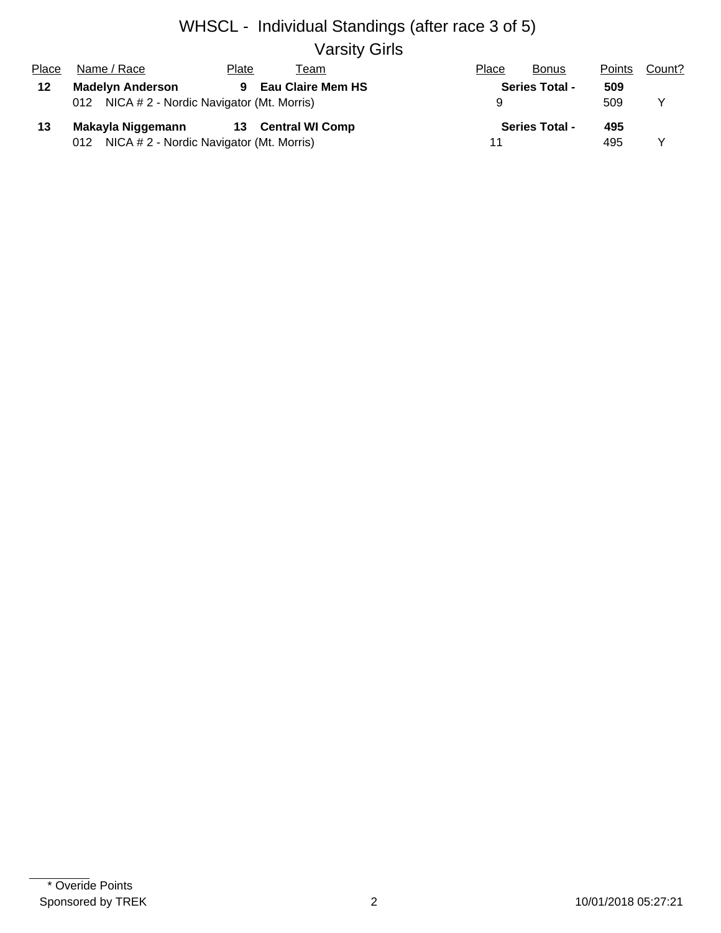# WHSCL - Individual Standings (after race 3 of 5) Varsity Girls

| Place | Name / Race                                  | Plate<br>⊺eam                  | Place | <b>Points</b><br><b>Bonus</b> | Count? |
|-------|----------------------------------------------|--------------------------------|-------|-------------------------------|--------|
| 12    | <b>Madelyn Anderson</b>                      | <b>Eau Claire Mem HS</b><br>9. |       | <b>Series Total -</b><br>509  |        |
|       | 012 NICA # 2 - Nordic Navigator (Mt. Morris) |                                |       | 509                           |        |
| 13    | Makayla Niggemann                            | 13 Central WI Comp             |       | <b>Series Total -</b><br>495  |        |
|       | 012 NICA # 2 - Nordic Navigator (Mt. Morris) |                                |       | 495                           |        |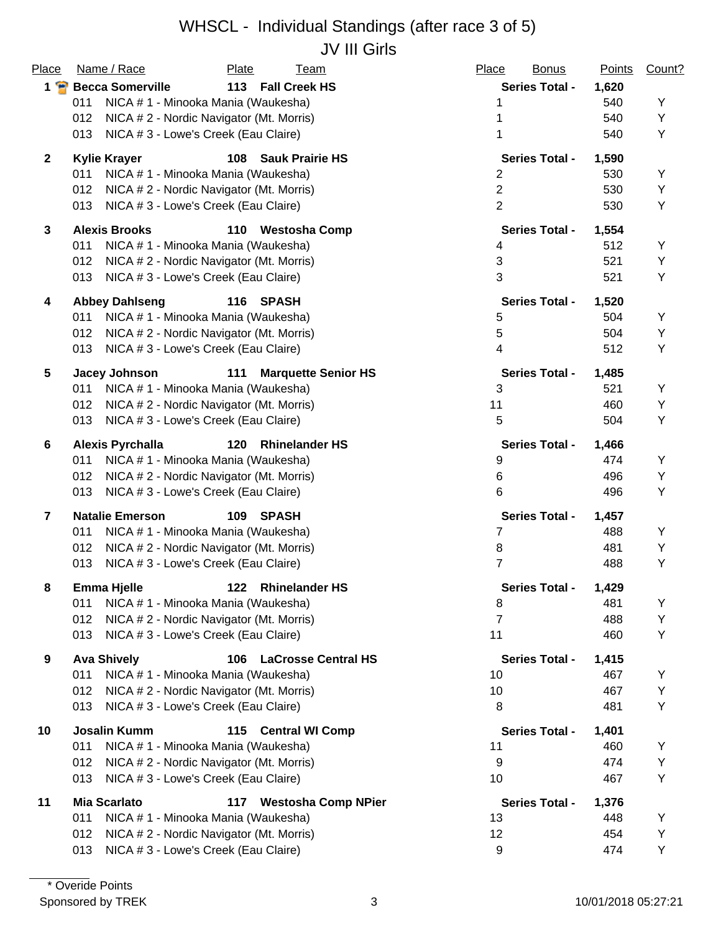#### WHSCL - Individual Standings (after race 3 of 5) JV III Girls

| Place          | Name / Race<br>Plate                            | <b>Team</b>                | Place<br><b>Bonus</b>    | Points | Count? |
|----------------|-------------------------------------------------|----------------------------|--------------------------|--------|--------|
| $1$ $\bullet$  | <b>Becca Somerville</b>                         | 113 Fall Creek HS          | <b>Series Total -</b>    | 1,620  |        |
|                | 011<br>NICA # 1 - Minooka Mania (Waukesha)      |                            |                          | 540    | Υ      |
|                | 012<br>NICA # 2 - Nordic Navigator (Mt. Morris) |                            |                          | 540    | Υ      |
|                | 013<br>NICA # 3 - Lowe's Creek (Eau Claire)     |                            |                          | 540    | Υ      |
| $\mathbf{2}$   | <b>Kylie Krayer</b>                             | 108 Sauk Prairie HS        | <b>Series Total -</b>    | 1,590  |        |
|                | 011<br>NICA # 1 - Minooka Mania (Waukesha)      |                            | $\overline{2}$           | 530    | Y      |
|                | 012<br>NICA # 2 - Nordic Navigator (Mt. Morris) |                            | $\overline{2}$           | 530    | Υ      |
|                | NICA # 3 - Lowe's Creek (Eau Claire)<br>013     |                            | $\overline{2}$           | 530    | Υ      |
| 3              | <b>Alexis Brooks</b><br>110                     | <b>Westosha Comp</b>       | <b>Series Total -</b>    | 1,554  |        |
|                | 011<br>NICA # 1 - Minooka Mania (Waukesha)      |                            | 4                        | 512    | Υ      |
|                | 012<br>NICA # 2 - Nordic Navigator (Mt. Morris) |                            | 3                        | 521    | Υ      |
|                | 013<br>NICA # 3 - Lowe's Creek (Eau Claire)     |                            | 3                        | 521    | Y      |
| 4              | 116<br><b>Abbey Dahlseng</b>                    | SPASH                      | <b>Series Total -</b>    | 1,520  |        |
|                | 011<br>NICA # 1 - Minooka Mania (Waukesha)      |                            | 5                        | 504    | Υ      |
|                | 012<br>NICA # 2 - Nordic Navigator (Mt. Morris) |                            | 5                        | 504    | Υ      |
|                | 013<br>NICA # 3 - Lowe's Creek (Eau Claire)     |                            | $\overline{\mathcal{A}}$ | 512    | Υ      |
| 5              | Jacey Johnson<br>111                            | <b>Marquette Senior HS</b> | <b>Series Total -</b>    | 1,485  |        |
|                | NICA # 1 - Minooka Mania (Waukesha)<br>011      |                            | 3                        | 521    | Υ      |
|                | 012<br>NICA # 2 - Nordic Navigator (Mt. Morris) |                            | 11                       | 460    | Υ      |
|                | 013<br>NICA # 3 - Lowe's Creek (Eau Claire)     |                            | 5                        | 504    | Y      |
| 6              | <b>Alexis Pyrchalla</b><br>120                  | <b>Rhinelander HS</b>      | <b>Series Total -</b>    | 1,466  |        |
|                | NICA # 1 - Minooka Mania (Waukesha)<br>011      |                            | 9                        | 474    | Υ      |
|                | 012<br>NICA # 2 - Nordic Navigator (Mt. Morris) |                            | 6                        | 496    | Υ      |
|                | 013<br>NICA # 3 - Lowe's Creek (Eau Claire)     |                            | 6                        | 496    | Y      |
| $\overline{7}$ | <b>Natalie Emerson</b><br>109                   | SPASH                      | <b>Series Total -</b>    | 1,457  |        |
|                | NICA # 1 - Minooka Mania (Waukesha)<br>011      |                            | 7                        | 488    | Y      |
|                | 012<br>NICA # 2 - Nordic Navigator (Mt. Morris) |                            | 8                        | 481    | Y      |
|                | 013<br>NICA # 3 - Lowe's Creek (Eau Claire)     |                            | $\overline{7}$           | 488    | Υ      |
| 8              | <b>Emma Hjelle</b><br>122                       | <b>Rhinelander HS</b>      | <b>Series Total -</b>    | 1,429  |        |
|                | 011<br>NICA # 1 - Minooka Mania (Waukesha)      |                            | 8                        | 481    | Y      |
|                | NICA # 2 - Nordic Navigator (Mt. Morris)<br>012 |                            | 7                        | 488    | Y      |
|                | NICA #3 - Lowe's Creek (Eau Claire)<br>013      |                            | 11                       | 460    | Υ      |
| 9              | <b>Ava Shively</b><br>106                       | <b>LaCrosse Central HS</b> | <b>Series Total -</b>    | 1,415  |        |
|                | 011<br>NICA # 1 - Minooka Mania (Waukesha)      |                            | 10                       | 467    | Y      |
|                | 012<br>NICA # 2 - Nordic Navigator (Mt. Morris) |                            | 10                       | 467    | Υ      |
|                | 013<br>NICA # 3 - Lowe's Creek (Eau Claire)     |                            | 8                        | 481    | Y      |
| 10             | <b>Josalin Kumm</b><br>115                      | <b>Central WI Comp</b>     | <b>Series Total -</b>    | 1,401  |        |
|                | 011<br>NICA # 1 - Minooka Mania (Waukesha)      |                            | 11                       | 460    | Υ      |
|                | 012<br>NICA # 2 - Nordic Navigator (Mt. Morris) |                            | 9                        | 474    | Υ      |
|                | NICA # 3 - Lowe's Creek (Eau Claire)<br>013     |                            | 10                       | 467    | Υ      |
| 11             | <b>Mia Scarlato</b><br>117                      | <b>Westosha Comp NPier</b> | <b>Series Total -</b>    | 1,376  |        |
|                | 011<br>NICA # 1 - Minooka Mania (Waukesha)      |                            | 13                       | 448    | Υ      |
|                | 012<br>NICA # 2 - Nordic Navigator (Mt. Morris) |                            | 12                       | 454    | Υ      |
|                | NICA # 3 - Lowe's Creek (Eau Claire)<br>013     |                            | 9                        | 474    | Y      |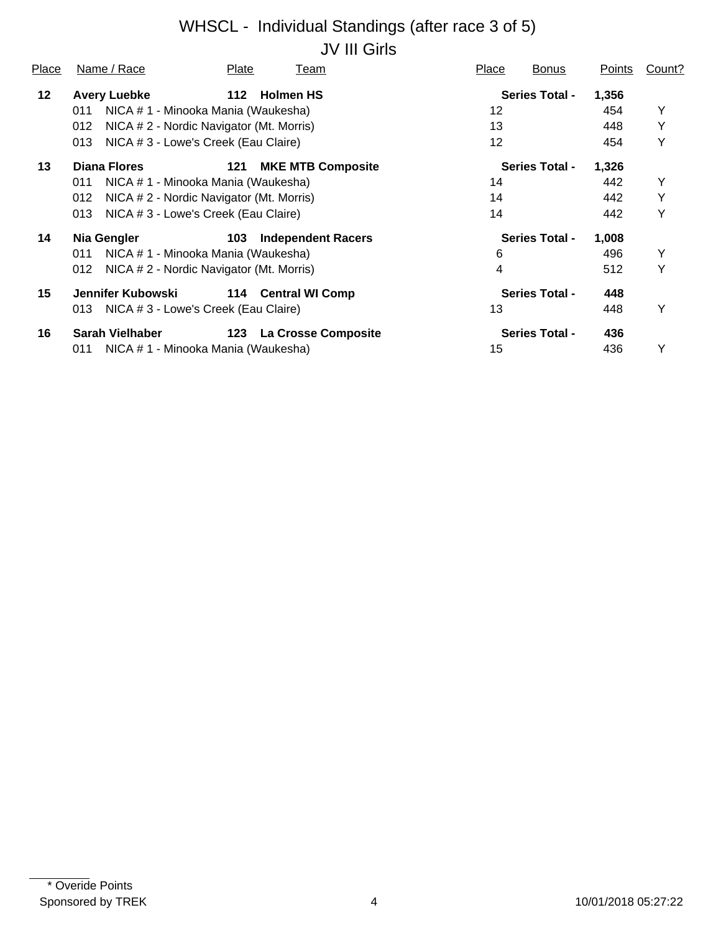# WHSCL - Individual Standings (after race 3 of 5) JV III Girls

| Place   | Name / Race                                     | Plate | Team                      | Place | <b>Bonus</b>          | Points | Count? |
|---------|-------------------------------------------------|-------|---------------------------|-------|-----------------------|--------|--------|
| $12 \,$ | <b>Avery Luebke</b>                             | 112   | <b>Holmen HS</b>          |       | <b>Series Total -</b> | 1,356  |        |
|         | NICA # 1 - Minooka Mania (Waukesha)<br>011      |       |                           | 12    |                       | 454    | Y      |
|         | NICA # 2 - Nordic Navigator (Mt. Morris)<br>012 |       |                           | 13    |                       | 448    | Υ      |
|         | NICA # 3 - Lowe's Creek (Eau Claire)<br>013     |       |                           | 12    |                       | 454    | Y      |
| 13      | Diana Flores                                    | 121   | <b>MKE MTB Composite</b>  |       | <b>Series Total -</b> | 1,326  |        |
|         | NICA # 1 - Minooka Mania (Waukesha)<br>011      |       |                           | 14    |                       | 442    | Y      |
|         | 012<br>NICA # 2 - Nordic Navigator (Mt. Morris) |       |                           | 14    |                       | 442    | Y      |
|         | NICA # 3 - Lowe's Creek (Eau Claire)<br>013     |       |                           | 14    |                       | 442    | Y      |
| 14      | Nia Gengler                                     | 103   | <b>Independent Racers</b> |       | <b>Series Total -</b> | 1,008  |        |
|         | NICA # 1 - Minooka Mania (Waukesha)<br>011      |       |                           | 6     |                       | 496    | Y      |
|         | NICA # 2 - Nordic Navigator (Mt. Morris)<br>012 |       |                           | 4     |                       | 512    | Y      |
| 15      | Jennifer Kubowski                               |       | 114 Central WI Comp       |       | <b>Series Total -</b> | 448    |        |
|         | NICA # 3 - Lowe's Creek (Eau Claire)<br>013     |       |                           | 13    |                       | 448    | Y      |
| 16      | Sarah Vielhaber                                 |       | 123 La Crosse Composite   |       | <b>Series Total -</b> | 436    |        |
|         | NICA # 1 - Minooka Mania (Waukesha)<br>011      |       |                           | 15    |                       | 436    | Y      |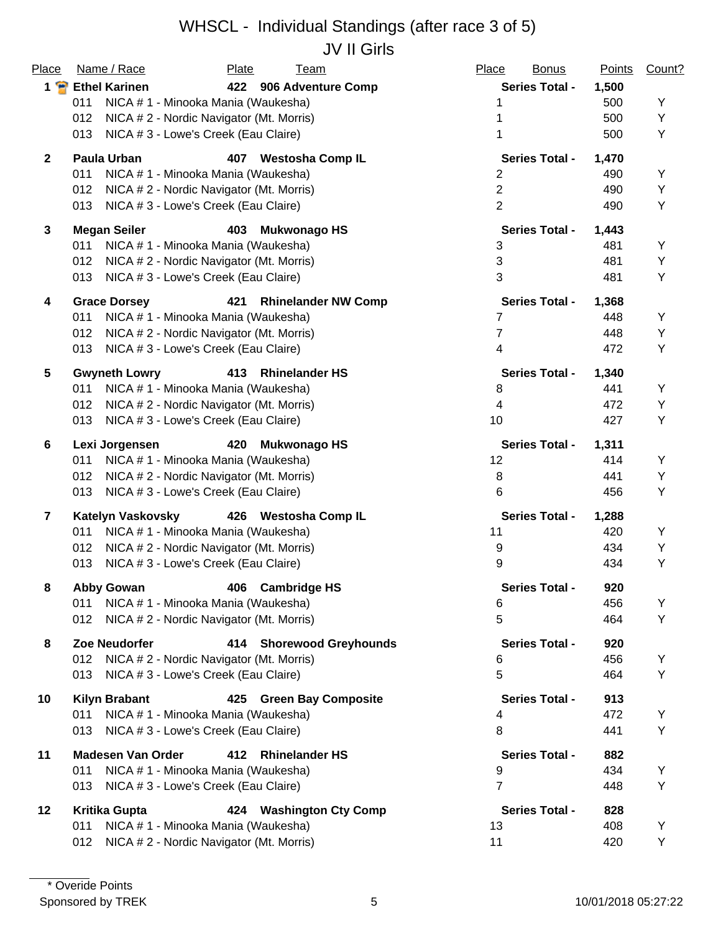#### WHSCL - Individual Standings (after race 3 of 5) JV II Girls

| Place                   | Name / Race<br>Plate<br><b>Team</b>                      | Place<br><b>Bonus</b> | <b>Points</b> | Count? |
|-------------------------|----------------------------------------------------------|-----------------------|---------------|--------|
| $1$ $\bullet$           | <b>Ethel Karinen</b><br>422 906 Adventure Comp           | <b>Series Total -</b> | 1,500         |        |
|                         | 011<br>NICA # 1 - Minooka Mania (Waukesha)               | 1                     | 500           | Y      |
|                         | 012<br>NICA # 2 - Nordic Navigator (Mt. Morris)          |                       | 500           | Υ      |
|                         | NICA # 3 - Lowe's Creek (Eau Claire)<br>013              | 1                     | 500           | Υ      |
| $\mathbf{2}$            | <b>Paula Urban</b><br>407<br><b>Westosha Comp IL</b>     | <b>Series Total -</b> | 1,470         |        |
|                         | 011<br>NICA # 1 - Minooka Mania (Waukesha)               | $\overline{2}$        | 490           | Υ      |
|                         | NICA # 2 - Nordic Navigator (Mt. Morris)<br>012          | $\overline{2}$        | 490           | Υ      |
|                         | NICA # 3 - Lowe's Creek (Eau Claire)<br>013              | $\overline{2}$        | 490           | Υ      |
| $\mathbf{3}$            | <b>Megan Seiler</b><br>403<br><b>Mukwonago HS</b>        | <b>Series Total -</b> | 1,443         |        |
|                         | 011<br>NICA # 1 - Minooka Mania (Waukesha)               | $\mathbf{3}$          | 481           | Y      |
|                         | NICA # 2 - Nordic Navigator (Mt. Morris)<br>012          | $\mathfrak{S}$        | 481           | Υ      |
|                         | NICA #3 - Lowe's Creek (Eau Claire)<br>013               | 3                     | 481           | Υ      |
| 4                       | <b>Grace Dorsey</b><br>421<br><b>Rhinelander NW Comp</b> | <b>Series Total -</b> | 1,368         |        |
|                         | NICA # 1 - Minooka Mania (Waukesha)<br>011               | 7                     | 448           | Υ      |
|                         | 012<br>NICA # 2 - Nordic Navigator (Mt. Morris)          | 7                     | 448           | Υ      |
|                         | NICA # 3 - Lowe's Creek (Eau Claire)<br>013              | 4                     | 472           | Υ      |
| 5                       | <b>Rhinelander HS</b><br><b>Gwyneth Lowry</b><br>413     | <b>Series Total -</b> | 1,340         |        |
|                         | NICA # 1 - Minooka Mania (Waukesha)<br>011               | 8                     | 441           | Υ      |
|                         | NICA # 2 - Nordic Navigator (Mt. Morris)<br>012          | 4                     | 472           | Υ      |
|                         | NICA # 3 - Lowe's Creek (Eau Claire)<br>013              | 10                    | 427           | Υ      |
| 6                       | Lexi Jorgensen<br>420<br><b>Mukwonago HS</b>             | <b>Series Total -</b> | 1,311         |        |
|                         | NICA # 1 - Minooka Mania (Waukesha)<br>011               | 12                    | 414           | Υ      |
|                         | 012<br>NICA # 2 - Nordic Navigator (Mt. Morris)          | 8                     | 441           | Υ      |
|                         | 013<br>NICA # 3 - Lowe's Creek (Eau Claire)              | 6                     | 456           | Υ      |
| $\overline{\mathbf{r}}$ | <b>Katelyn Vaskovsky</b><br>426 Westosha Comp IL         | <b>Series Total -</b> | 1,288         |        |
|                         | NICA # 1 - Minooka Mania (Waukesha)<br>011               | 11                    | 420           | Υ      |
|                         | NICA # 2 - Nordic Navigator (Mt. Morris)<br>012          | 9                     | 434           | Υ      |
|                         | NICA #3 - Lowe's Creek (Eau Claire)<br>013               | 9                     | 434           | Υ      |
| 8                       | <b>Abby Gowan</b><br>406<br><b>Cambridge HS</b>          | <b>Series Total -</b> | 920           |        |
|                         | NICA #1 - Minooka Mania (Waukesha)<br>011                | 6                     | 456           | Y      |
|                         | NICA # 2 - Nordic Navigator (Mt. Morris)<br>012          | 5                     | 464           | Υ      |
| 8                       | <b>Zoe Neudorfer</b><br>414 Shorewood Greyhounds         | <b>Series Total -</b> | 920           |        |
|                         | 012<br>NICA # 2 - Nordic Navigator (Mt. Morris)          | 6                     | 456           | Υ      |
|                         | NICA # 3 - Lowe's Creek (Eau Claire)<br>013              | 5                     | 464           | Υ      |
| 10                      | <b>Kilyn Brabant</b><br>425 Green Bay Composite          | <b>Series Total -</b> | 913           |        |
|                         | NICA # 1 - Minooka Mania (Waukesha)<br>011               | 4                     | 472           | Υ      |
|                         | NICA # 3 - Lowe's Creek (Eau Claire)<br>013              | 8                     | 441           | Υ      |
| 11                      | <b>Madesen Van Order</b><br>412<br><b>Rhinelander HS</b> | <b>Series Total -</b> | 882           |        |
|                         | NICA # 1 - Minooka Mania (Waukesha)<br>011               | 9                     | 434           | Υ      |
|                         | NICA # 3 - Lowe's Creek (Eau Claire)<br>013              | $\overline{7}$        | 448           | Υ      |
| 12                      | Kritika Gupta<br>424 Washington Cty Comp                 | <b>Series Total -</b> | 828           |        |
|                         | NICA # 1 - Minooka Mania (Waukesha)<br>011               | 13                    | 408           | Υ      |
|                         | NICA # 2 - Nordic Navigator (Mt. Morris)<br>012          | 11                    | 420           | Υ      |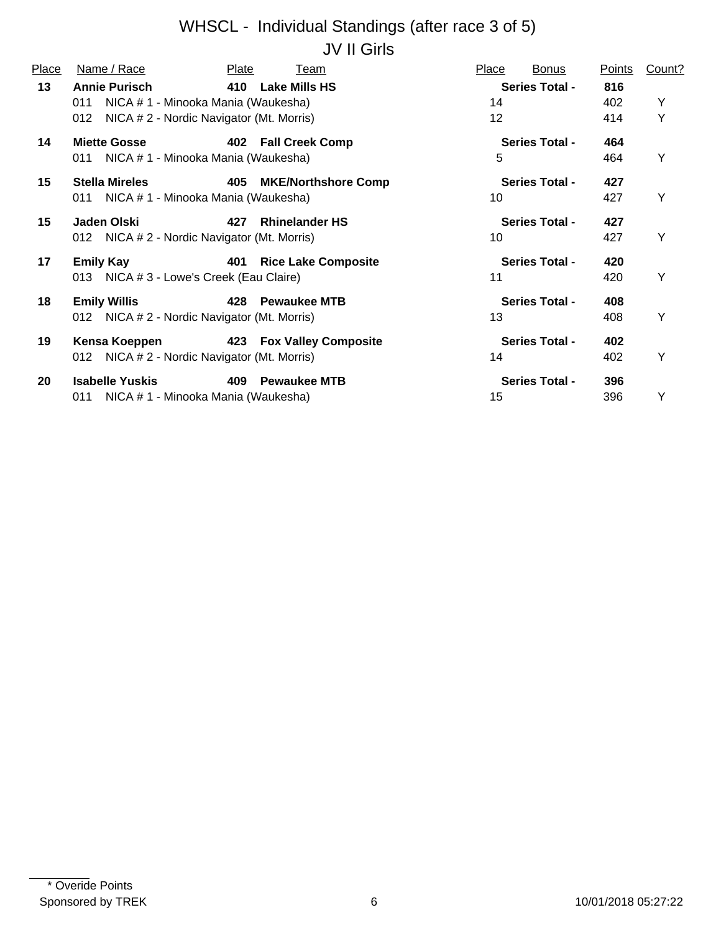### WHSCL - Individual Standings (after race 3 of 5) JV II Girls

| Place | Name / Race                                                                                                           | Plate | Team                       | Place                 | <b>Bonus</b>          | Points            | Count? |
|-------|-----------------------------------------------------------------------------------------------------------------------|-------|----------------------------|-----------------------|-----------------------|-------------------|--------|
| 13    | <b>Annie Purisch</b><br>NICA # 1 - Minooka Mania (Waukesha)<br>011<br>NICA # 2 - Nordic Navigator (Mt. Morris)<br>012 |       | 410 Lake Mills HS          | 14<br>12 <sup>°</sup> | <b>Series Total -</b> | 816<br>402<br>414 | Y<br>Υ |
| 14    | <b>Miette Gosse</b><br>NICA # 1 - Minooka Mania (Waukesha)<br>011                                                     |       | 402 Fall Creek Comp        | 5                     | <b>Series Total -</b> | 464<br>464        | Y      |
| 15    | <b>Stella Mireles</b><br>NICA # 1 - Minooka Mania (Waukesha)<br>011                                                   | 405   | <b>MKE/Northshore Comp</b> | 10                    | <b>Series Total -</b> | 427<br>427        | Y      |
| 15    | Jaden Olski<br>012 NICA # 2 - Nordic Navigator (Mt. Morris)                                                           | 427   | <b>Rhinelander HS</b>      | 10                    | <b>Series Total -</b> | 427<br>427        | Y      |
| 17    | <b>Emily Kay</b><br>013 NICA # 3 - Lowe's Creek (Eau Claire)                                                          | 401   | <b>Rice Lake Composite</b> | 11                    | <b>Series Total -</b> | 420<br>420        | Y      |
| 18    | <b>Emily Willis</b><br>012 NICA # 2 - Nordic Navigator (Mt. Morris)                                                   | 428   | <b>Pewaukee MTB</b>        | 13                    | <b>Series Total -</b> | 408<br>408        | Y      |
| 19    | Kensa Koeppen<br>NICA # 2 - Nordic Navigator (Mt. Morris)<br>012                                                      |       | 423 Fox Valley Composite   | 14                    | <b>Series Total -</b> | 402<br>402        | Y      |
| 20    | <b>Isabelle Yuskis</b><br>NICA # 1 - Minooka Mania (Waukesha)<br>011                                                  | 409   | <b>Pewaukee MTB</b>        | 15                    | <b>Series Total -</b> | 396<br>396        | Υ      |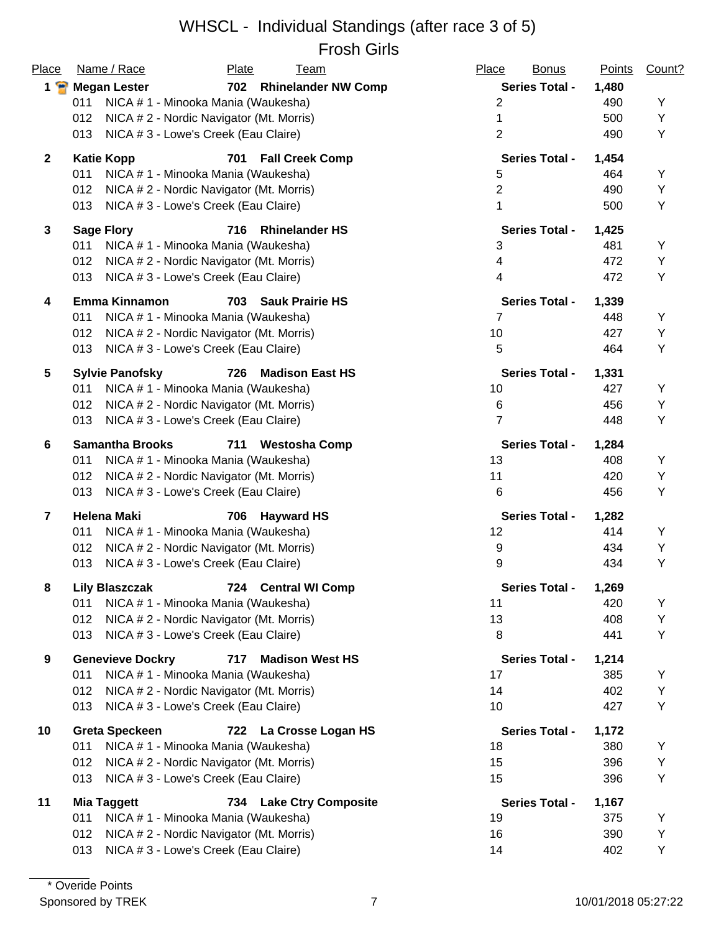#### WHSCL - Individual Standings (after race 3 of 5) Frosh Girls

|                |                                                 | טוווט ווטטו                   |                       |               |        |
|----------------|-------------------------------------------------|-------------------------------|-----------------------|---------------|--------|
| Place          | Name / Race                                     | Plate<br><b>Team</b>          | Place<br><b>Bonus</b> | <b>Points</b> | Count? |
| $1 \cdot$      | <b>Megan Lester</b>                             | 702 Rhinelander NW Comp       | <b>Series Total -</b> | 1,480         |        |
|                | 011<br>NICA # 1 - Minooka Mania (Waukesha)      |                               | 2                     | 490           | Υ      |
|                | NICA #2 - Nordic Navigator (Mt. Morris)<br>012  |                               | 1                     | 500           | Υ      |
|                | NICA # 3 - Lowe's Creek (Eau Claire)<br>013     |                               | $\overline{2}$        | 490           | Υ      |
| $\overline{2}$ | <b>Katie Kopp</b>                               | <b>Fall Creek Comp</b><br>701 | <b>Series Total -</b> | 1,454         |        |
|                | 011<br>NICA # 1 - Minooka Mania (Waukesha)      |                               | 5                     | 464           | Υ      |
|                | 012<br>NICA # 2 - Nordic Navigator (Mt. Morris) |                               | $\overline{2}$        | 490           | Υ      |
|                | NICA # 3 - Lowe's Creek (Eau Claire)<br>013     |                               | 1                     | 500           | Υ      |
| $\mathbf{3}$   | <b>Sage Flory</b>                               | <b>Rhinelander HS</b><br>716  | <b>Series Total -</b> | 1,425         |        |
|                | NICA # 1 - Minooka Mania (Waukesha)<br>011      |                               | 3                     | 481           | Υ      |
|                | NICA # 2 - Nordic Navigator (Mt. Morris)<br>012 |                               | 4                     | 472           | Υ      |
|                | NICA # 3 - Lowe's Creek (Eau Claire)<br>013     |                               | 4                     | 472           | Y      |
| 4              | <b>Emma Kinnamon</b>                            | <b>Sauk Prairie HS</b><br>703 | <b>Series Total -</b> | 1,339         |        |
|                | 011<br>NICA # 1 - Minooka Mania (Waukesha)      |                               | 7                     | 448           | Y      |
|                | 012<br>NICA # 2 - Nordic Navigator (Mt. Morris) |                               | 10                    | 427           | Υ      |
|                | 013<br>NICA # 3 - Lowe's Creek (Eau Claire)     |                               | $\overline{5}$        | 464           | Υ      |
| 5              | <b>Sylvie Panofsky</b>                          | <b>Madison East HS</b><br>726 | <b>Series Total -</b> | 1,331         |        |
|                | NICA #1 - Minooka Mania (Waukesha)<br>011       |                               | 10                    | 427           | Y      |
|                | NICA # 2 - Nordic Navigator (Mt. Morris)<br>012 |                               | 6                     | 456           | Υ      |
|                | 013<br>NICA # 3 - Lowe's Creek (Eau Claire)     |                               | 7                     | 448           | Υ      |
| 6              | <b>Samantha Brooks</b>                          | 711<br><b>Westosha Comp</b>   | <b>Series Total -</b> | 1,284         |        |
|                | 011<br>NICA # 1 - Minooka Mania (Waukesha)      |                               | 13                    | 408           | Υ      |
|                | 012<br>NICA # 2 - Nordic Navigator (Mt. Morris) |                               | 11                    | 420           | Υ      |
|                | 013<br>NICA # 3 - Lowe's Creek (Eau Claire)     |                               | 6                     | 456           | Υ      |
| $\overline{7}$ | <b>Helena Maki</b>                              | 706<br><b>Hayward HS</b>      | <b>Series Total -</b> | 1,282         |        |
|                | NICA #1 - Minooka Mania (Waukesha)<br>011       |                               | 12                    | 414           | Y      |
|                | 012<br>NICA # 2 - Nordic Navigator (Mt. Morris) |                               | 9                     | 434           | Υ      |
|                | NICA # 3 - Lowe's Creek (Eau Claire)<br>013     |                               | 9                     | 434           | Υ      |
| 8              | <b>Lily Blaszczak</b>                           | 724 Central WI Comp           | <b>Series Total -</b> | 1,269         |        |
|                | 011<br>NICA # 1 - Minooka Mania (Waukesha)      |                               | 11                    | 420           | Υ      |
|                | 012<br>NICA # 2 - Nordic Navigator (Mt. Morris) |                               | 13                    | 408           | Υ      |
|                | NICA #3 - Lowe's Creek (Eau Claire)<br>013      |                               | 8                     | 441           | Υ      |
| 9              | <b>Genevieve Dockry</b>                         | <b>Madison West HS</b><br>717 | <b>Series Total -</b> | 1,214         |        |
|                | 011<br>NICA # 1 - Minooka Mania (Waukesha)      |                               | 17                    | 385           | Y      |
|                | NICA # 2 - Nordic Navigator (Mt. Morris)<br>012 |                               | 14                    | 402           | Υ      |
|                | NICA # 3 - Lowe's Creek (Eau Claire)<br>013     |                               | 10                    | 427           | Υ      |
| 10             | <b>Greta Speckeen</b>                           | 722 La Crosse Logan HS        | <b>Series Total -</b> | 1,172         |        |
|                | 011<br>NICA # 1 - Minooka Mania (Waukesha)      |                               | 18                    | 380           | Υ      |
|                | NICA #2 - Nordic Navigator (Mt. Morris)<br>012  |                               | 15                    | 396           | Υ      |
|                | 013<br>NICA # 3 - Lowe's Creek (Eau Claire)     |                               | 15                    | 396           | Υ      |
| 11             | <b>Mia Taggett</b>                              | 734 Lake Ctry Composite       | <b>Series Total -</b> | 1,167         |        |
|                | NICA # 1 - Minooka Mania (Waukesha)<br>011      |                               | 19                    | 375           | Y      |
|                | NICA # 2 - Nordic Navigator (Mt. Morris)<br>012 |                               | 16                    | 390           | Υ      |
|                | NICA # 3 - Lowe's Creek (Eau Claire)<br>013     |                               | 14                    | 402           | Υ      |